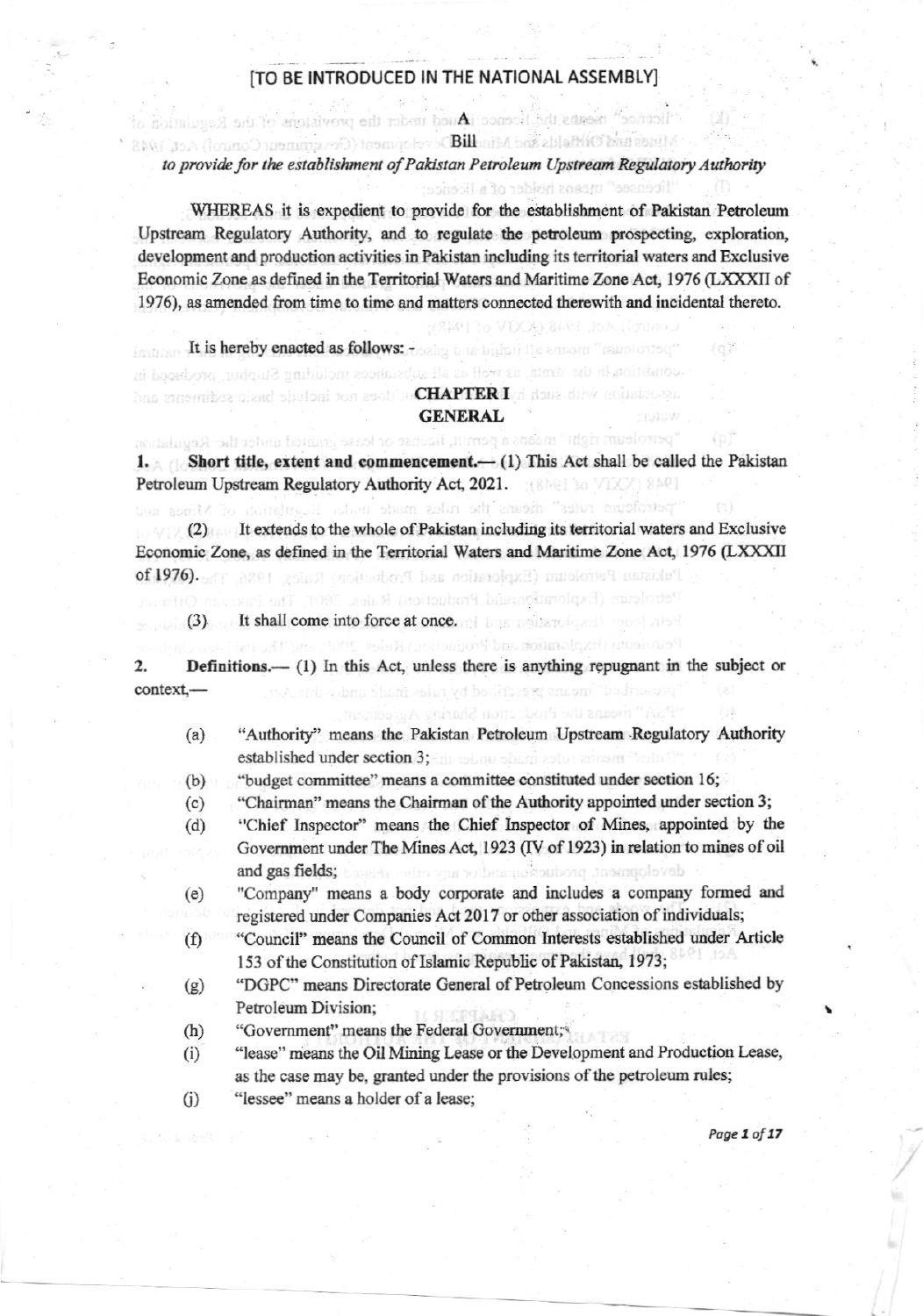## [TO BE INTRODUCED IN THE NATIONAL ASSEMBLY]

"liconoc" means the hoenoc iAsued the the provisions of the Regulation

Mines and Otherlik and Mindlibroveropment (Cevictment Control) Act, 1943

"licensee" means helder of a licence"

(25011o VIXX) 8491 JoA (immou)

## to provide for the establishment of Pakistan Petroleum Upstream Regulatory Authority

WHEREAS it is expedient to provide for the establishment of Pakistan Petroleum Upstream Regulatory Authority, and to regulate the petroleum prospecting, exploration, development and production activities in Pakistan including its territorial waters and Exclusive Economic Zone as defined in the Territorial Waters and Maritime Zone Act, 1976 (LXXXII of 1976), as amended from time to time and matters connected therewith and incidental thereto.

It is hereby enacted as follows: research the bulket the annoth "remote "remote of" condition in the strata, as well as all substances including Striphur, prodeced in

## bus experiities clend spulpni for sool) to CHAPTERI of done dirvi activities an **GENERAL**

perroleum right" means a permit, license or lease granted under the Regulation 1. Short title, extent and commencement.  $(1)$  This Act shall be called the Pakistan Petroleum Upstream Regulatory Authority Act, 2021. [806] 10 VIXX 806]

"petroleum rutes" incurs intes made made its strendarion of Mines and

(2) It extends to the whole of Pakistan including its territorial waters and Exclusive Economic Zone, as defined in the Territorial Waters and Maritime Zone Act, 1976 (LXXXII Petristan Petroleum (Exploration and Postcolor) Rules, 1986, 1980.

Petroleum (Explorationalid, Production) Rales, 2001, The Paki

Pennish (haplantion and Program Radies 2005, and The effect

(3) It shall come into force at once.

**Definitions.**—  $(1)$  In this Act, unless there is anything repugnant in the subject or 2. context.to A sidu vulanu shumi zeliya vd beciritire wi anuami "bediniventi

"Authority" means the Pakistan Petroleum Upstream Regulatory Authority  $(a)$ established under section 3; an address sharp collection of

P.S.A." means the Prode choir Sharing Agreem

"budget committee" means a committee constituted under section 16;  $(b)$ 

- "Chairman" means the Chairman of the Authority appointed under section 3;  $(c)$
- 'Chief Inspector" means the Chief Inspector of Mines, appointed by the  $(d)$ Government under The Mines Act, 1923 (IV of 1923) in relation to mines of oil and gas fields; based as who years the audientions, tasanyoloveb
- "Company" means a body corporate and includes a company formed and  $(e)$ registered under Companies Act 2017 or other association of individuals;
- "Council" means the Council of Common Interests established under Article  $(f)$ 153 of the Constitution of Islamic Republic of Pakistan, 1973;
- "DGPC" means Directorate General of Petroleum Concessions established by  $(g)$ Petroleum Division;
- "Government" means the Federal Government;  $(h)$
- "lease" means the Oil Mining Lease or the Development and Production Lease,  $(i)$ as the case may be, granted under the provisions of the petroleum rules;
- $(i)$ "lessee" means a holder of a lease;

Page 1 of 17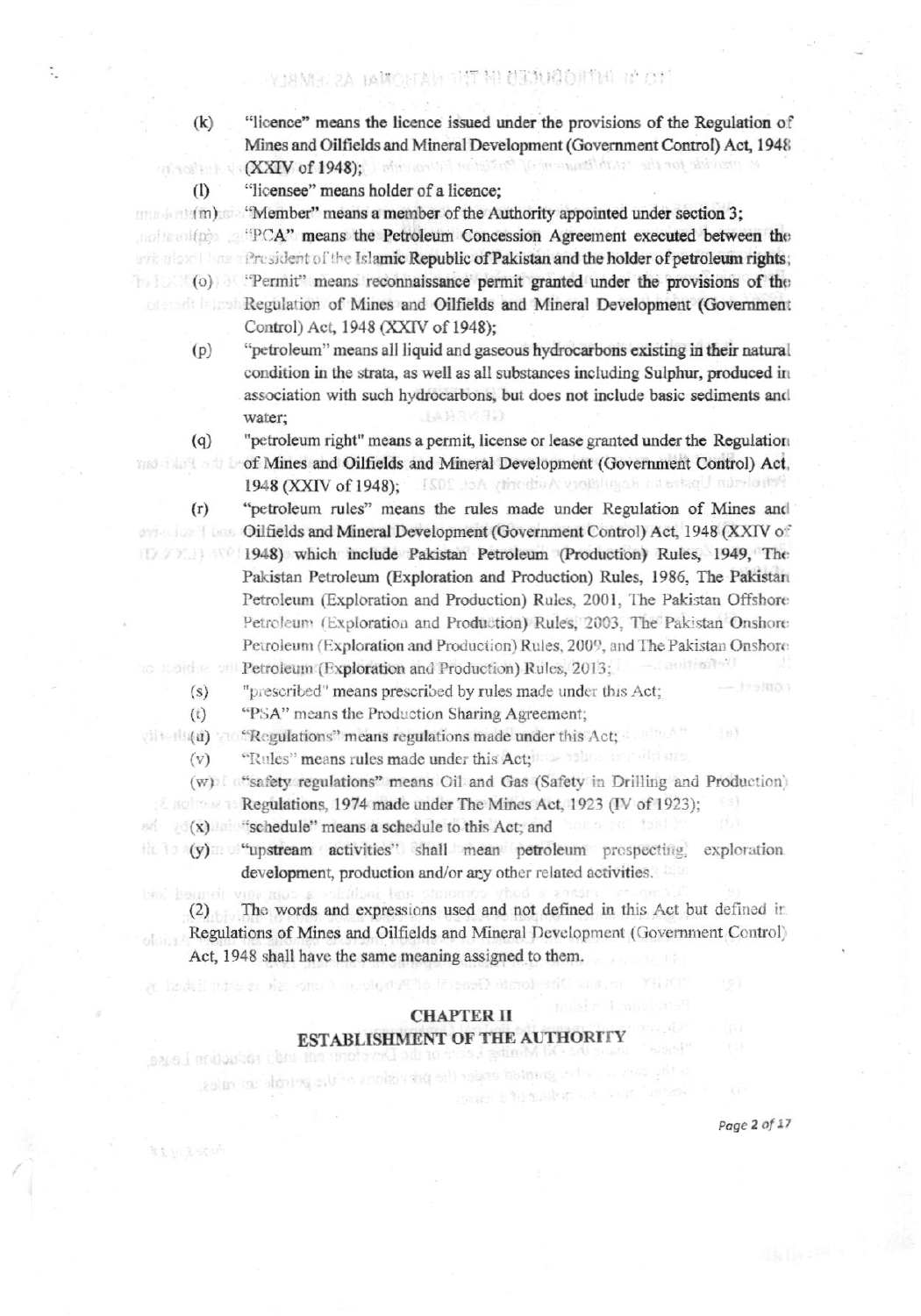YJAMEC 2A BAMOEFAR RET METHODATIN HA OT

"licence" means the licence issued under the provisions of the Regulation of Mines and Oilfields and Mineral Development (Government Control) Act, 1948 (XXIV of 1948); I should be the factor of the measurable to the oriental of iv faller in

"licensee" means holder of a licence;

"Member" means a member of the Authority appointed under section 3;

and the bolder of the Islamic Republic of Pakistan and the holder of petroleum rights; (o) "Permit" means reconnaissance permit granted under the provisions of the **Regulation of Mines and Oilfields and Mineral Development (Government**) Control) Act, 1948 (XXIV of 1948);

"petroleum" means all liquid and gaseous hydrocarbons existing in their natural  $(p)$ condition in the strata, as well as all substances including Sulphur, produced in association with such hydrocarbons, but does not include basic sediments and water; GENEAL

"petroleum right" means a permit, license or lease granted under the Regulation of Mines and Oilfields and Mineral Development (Government Control) Act, 1948 (XXIV of 1948); ISOE JoA (thedis A violatingon ratertagl numbered

"petroleum rules" means the rules made under Regulation of Mines and **Oilfields and Mineral Development (Government Control) Act, 1948 (XXIV of** 1948) which include Pakistan Petroleum (Production) Rules, 1949, The Pakistan Petroleum (Exploration and Production) Rules, 1986, The Pakistan Petroleum (Exploration and Production) Rules, 2001, The Pakistan Offshore Petroleum (Exploration and Production) Rules, 2003. The Pakistan Onshore Petroleum (Exploration and Production) Rules, 2009, and The Pakistan Onshore Definition conduction Petroleum (Exploration and Production) Rules, 2013;

"prescribed" means prescribed by rules made under this Act;  $(s)$ 

"PSA" means the Production Sharing Agreement;  $(t)$ 

 $(i)$  (a)  $\sim$  "Regulations" means regulations made under this Act;

"Rules" means rules made under this Act; the assistant learning state  $(v)$ 

(w) \*\*\* safety regulations" means Oil and Gas (Safety in Drilling and Production)

homo nu tanhi

Regulations, 1974 made under The Mines Act, 1923 (IV of 1923); (9)

(x) "schedule" means a schedule to this Act; and

le signification d'autorité dans l'originale sett lister pe

guided ender the precisions or the principle and rates.

azie I midoulon that the motoved of no

the to (y) "upstream activities" shall mean petroleum prospecting exploration development, production and/or any other related activities.

The words and expressions used and not defined in this Act but defined in  $(2)$ Regulations of Mines and Oilfields and Mineral Development (Government Control) Act, 1948 shall have the same meaning assigned to them.

peace sho sublemant

# **CHAPTER II** ESTABLISHMENT OF THE AUTHORITY

Page 2 of 17

 $(k)$ 

 $\Omega$ 

 $(q)$ 

 $(r)$ 

ologi

Page I with